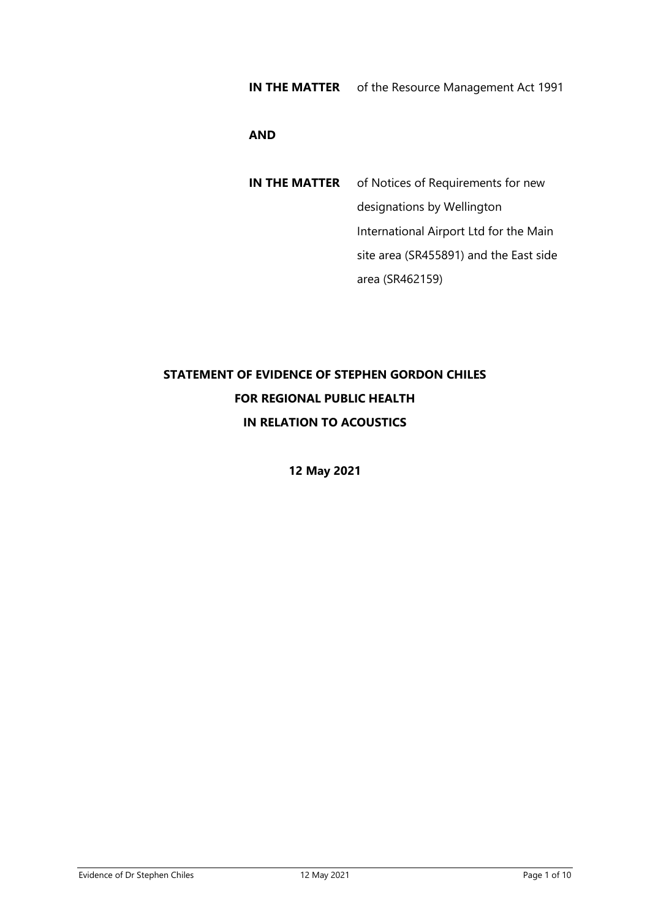#### **AND**

**IN THE MATTER** of Notices of Requirements for new designations by Wellington International Airport Ltd for the Main site area (SR455891) and the East side area (SR462159)

# **STATEMENT OF EVIDENCE OF STEPHEN GORDON CHILES FOR REGIONAL PUBLIC HEALTH IN RELATION TO ACOUSTICS**

**12 May 2021**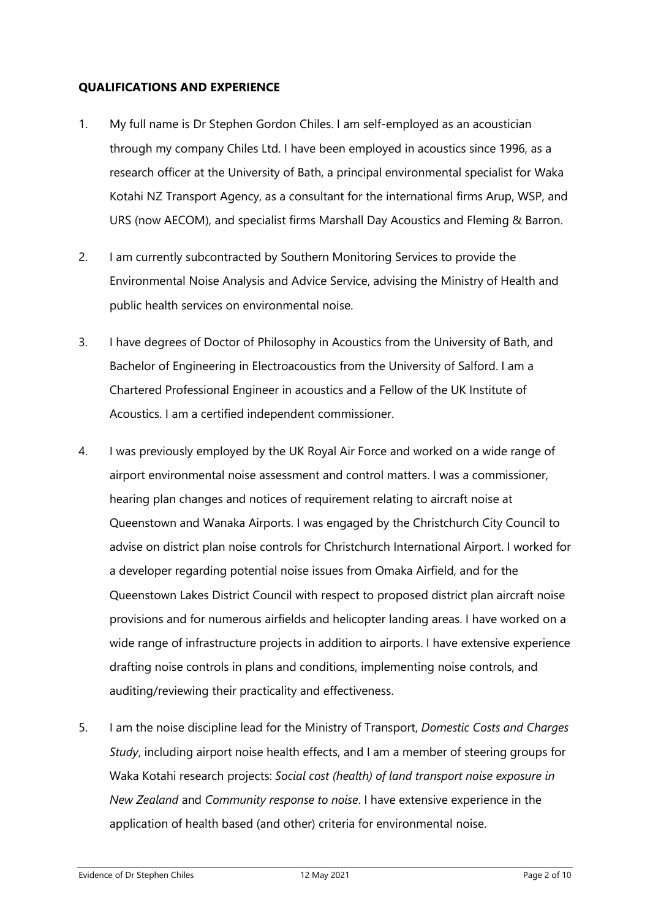## **QUALIFICATIONS AND EXPERIENCE**

- 1. My full name is Dr Stephen Gordon Chiles. I am self-employed as an acoustician through my company Chiles Ltd. I have been employed in acoustics since 1996, as a research officer at the University of Bath, a principal environmental specialist for Waka Kotahi NZ Transport Agency, as a consultant for the international firms Arup, WSP, and URS (now AECOM), and specialist firms Marshall Day Acoustics and Fleming & Barron.
- 2. I am currently subcontracted by Southern Monitoring Services to provide the Environmental Noise Analysis and Advice Service, advising the Ministry of Health and public health services on environmental noise.
- 3. I have degrees of Doctor of Philosophy in Acoustics from the University of Bath, and Bachelor of Engineering in Electroacoustics from the University of Salford. I am a Chartered Professional Engineer in acoustics and a Fellow of the UK Institute of Acoustics. I am a certified independent commissioner.
- 4. I was previously employed by the UK Royal Air Force and worked on a wide range of airport environmental noise assessment and control matters. I was a commissioner, hearing plan changes and notices of requirement relating to aircraft noise at Queenstown and Wanaka Airports. I was engaged by the Christchurch City Council to advise on district plan noise controls for Christchurch International Airport. I worked for a developer regarding potential noise issues from Omaka Airfield, and for the Queenstown Lakes District Council with respect to proposed district plan aircraft noise provisions and for numerous airfields and helicopter landing areas. I have worked on a wide range of infrastructure projects in addition to airports. I have extensive experience drafting noise controls in plans and conditions, implementing noise controls, and auditing/reviewing their practicality and effectiveness.
- 5. I am the noise discipline lead for the Ministry of Transport, *Domestic Costs and Charges Study*, including airport noise health effects, and I am a member of steering groups for Waka Kotahi research projects: *Social cost (health) of land transport noise exposure in New Zealand* and *Community response to noise*. I have extensive experience in the application of health based (and other) criteria for environmental noise.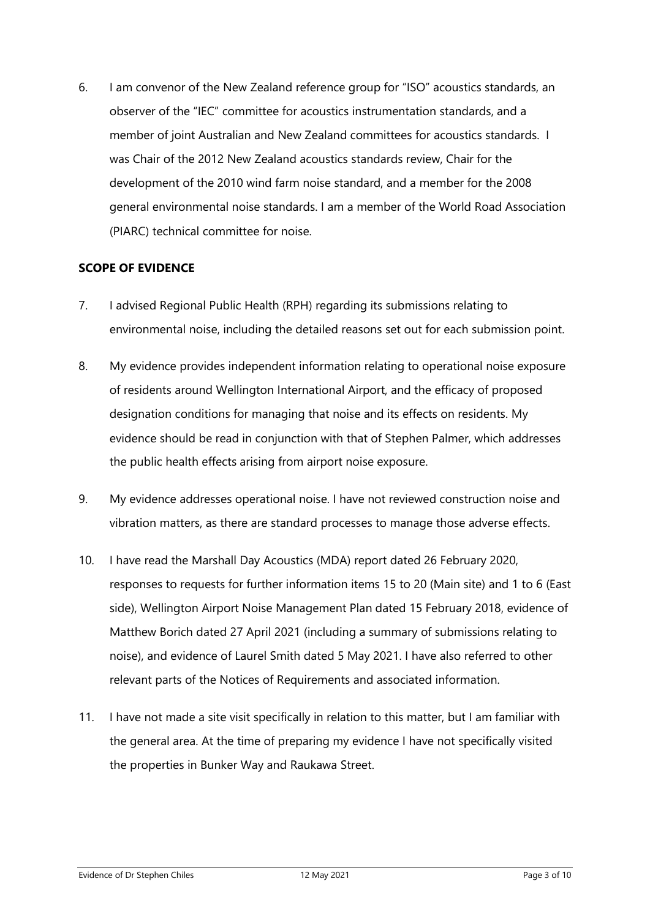6. I am convenor of the New Zealand reference group for "ISO" acoustics standards, an observer of the "IEC" committee for acoustics instrumentation standards, and a member of joint Australian and New Zealand committees for acoustics standards. I was Chair of the 2012 New Zealand acoustics standards review, Chair for the development of the 2010 wind farm noise standard, and a member for the 2008 general environmental noise standards. I am a member of the World Road Association (PIARC) technical committee for noise.

## **SCOPE OF EVIDENCE**

- 7. I advised Regional Public Health (RPH) regarding its submissions relating to environmental noise, including the detailed reasons set out for each submission point.
- 8. My evidence provides independent information relating to operational noise exposure of residents around Wellington International Airport, and the efficacy of proposed designation conditions for managing that noise and its effects on residents. My evidence should be read in conjunction with that of Stephen Palmer, which addresses the public health effects arising from airport noise exposure.
- 9. My evidence addresses operational noise. I have not reviewed construction noise and vibration matters, as there are standard processes to manage those adverse effects.
- 10. I have read the Marshall Day Acoustics (MDA) report dated 26 February 2020, responses to requests for further information items 15 to 20 (Main site) and 1 to 6 (East side), Wellington Airport Noise Management Plan dated 15 February 2018, evidence of Matthew Borich dated 27 April 2021 (including a summary of submissions relating to noise), and evidence of Laurel Smith dated 5 May 2021. I have also referred to other relevant parts of the Notices of Requirements and associated information.
- 11. I have not made a site visit specifically in relation to this matter, but I am familiar with the general area. At the time of preparing my evidence I have not specifically visited the properties in Bunker Way and Raukawa Street.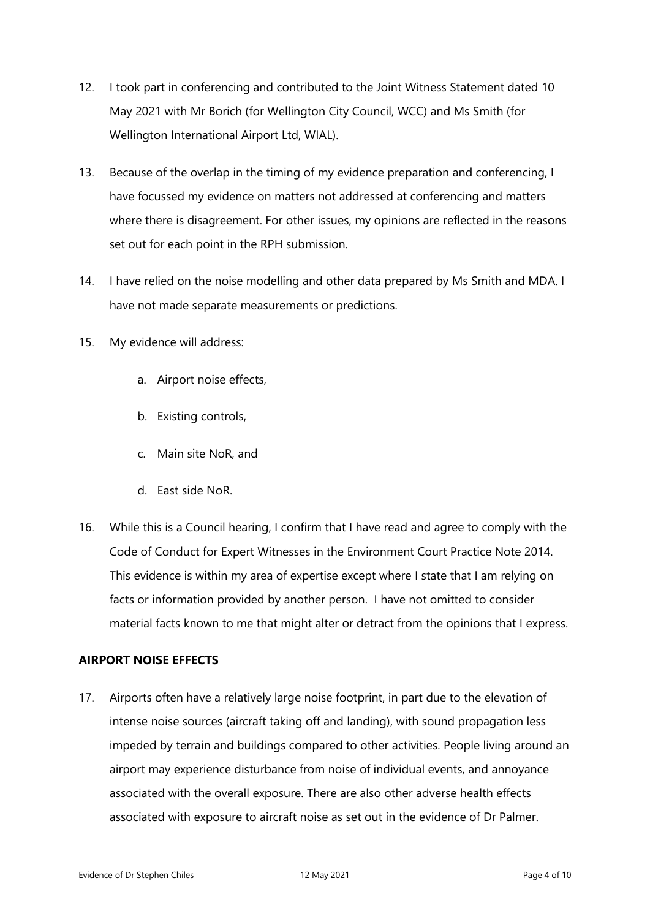- 12. I took part in conferencing and contributed to the Joint Witness Statement dated 10 May 2021 with Mr Borich (for Wellington City Council, WCC) and Ms Smith (for Wellington International Airport Ltd, WIAL).
- 13. Because of the overlap in the timing of my evidence preparation and conferencing, I have focussed my evidence on matters not addressed at conferencing and matters where there is disagreement. For other issues, my opinions are reflected in the reasons set out for each point in the RPH submission.
- 14. I have relied on the noise modelling and other data prepared by Ms Smith and MDA. I have not made separate measurements or predictions.
- 15. My evidence will address:
	- a. Airport noise effects,
	- b. Existing controls,
	- c. Main site NoR, and
	- d. East side NoR.
- 16. While this is a Council hearing, I confirm that I have read and agree to comply with the Code of Conduct for Expert Witnesses in the Environment Court Practice Note 2014. This evidence is within my area of expertise except where I state that I am relying on facts or information provided by another person. I have not omitted to consider material facts known to me that might alter or detract from the opinions that I express.

## **AIRPORT NOISE EFFECTS**

17. Airports often have a relatively large noise footprint, in part due to the elevation of intense noise sources (aircraft taking off and landing), with sound propagation less impeded by terrain and buildings compared to other activities. People living around an airport may experience disturbance from noise of individual events, and annoyance associated with the overall exposure. There are also other adverse health effects associated with exposure to aircraft noise as set out in the evidence of Dr Palmer.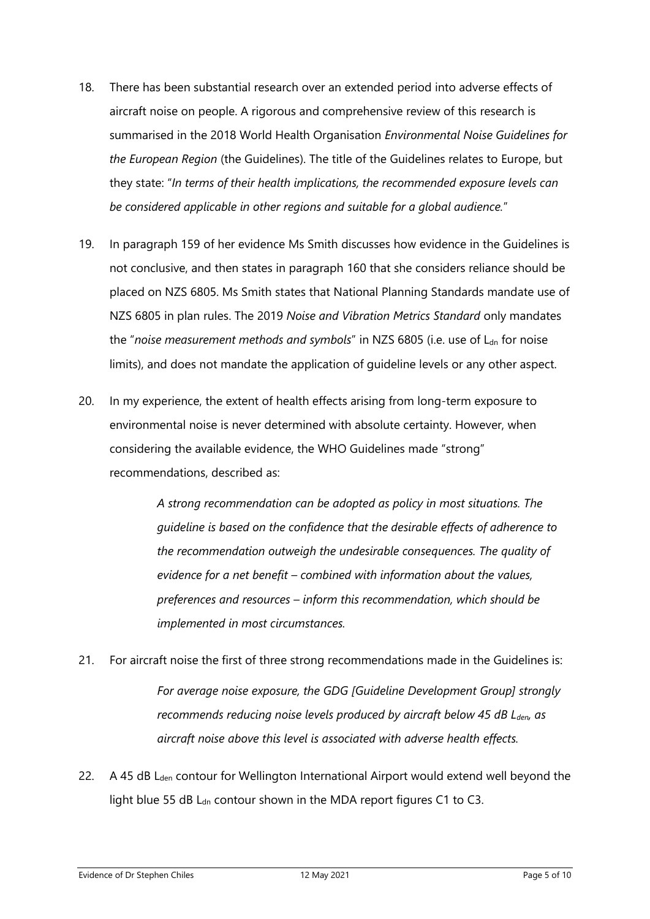- 18. There has been substantial research over an extended period into adverse effects of aircraft noise on people. A rigorous and comprehensive review of this research is summarised in the 2018 World Health Organisation *Environmental Noise Guidelines for the European Region* (the Guidelines). The title of the Guidelines relates to Europe, but they state: "*In terms of their health implications, the recommended exposure levels can be considered applicable in other regions and suitable for a global audience.*"
- 19. In paragraph 159 of her evidence Ms Smith discusses how evidence in the Guidelines is not conclusive, and then states in paragraph 160 that she considers reliance should be placed on NZS 6805. Ms Smith states that National Planning Standards mandate use of NZS 6805 in plan rules. The 2019 *Noise and Vibration Metrics Standard* only mandates the "noise measurement methods and symbols" in NZS 6805 (i.e. use of L<sub>dn</sub> for noise limits), and does not mandate the application of guideline levels or any other aspect.
- 20. In my experience, the extent of health effects arising from long-term exposure to environmental noise is never determined with absolute certainty. However, when considering the available evidence, the WHO Guidelines made "strong" recommendations, described as:

*A strong recommendation can be adopted as policy in most situations. The guideline is based on the confidence that the desirable effects of adherence to the recommendation outweigh the undesirable consequences. The quality of evidence for a net benefit – combined with information about the values, preferences and resources – inform this recommendation, which should be implemented in most circumstances.*

- 21. For aircraft noise the first of three strong recommendations made in the Guidelines is: *For average noise exposure, the GDG [Guideline Development Group] strongly recommends reducing noise levels produced by aircraft below 45 dB Lden, as aircraft noise above this level is associated with adverse health effects.*
- 22. A 45 dB  $L<sub>den</sub>$  contour for Wellington International Airport would extend well beyond the light blue 55 dB  $L<sub>dn</sub>$  contour shown in the MDA report figures C1 to C3.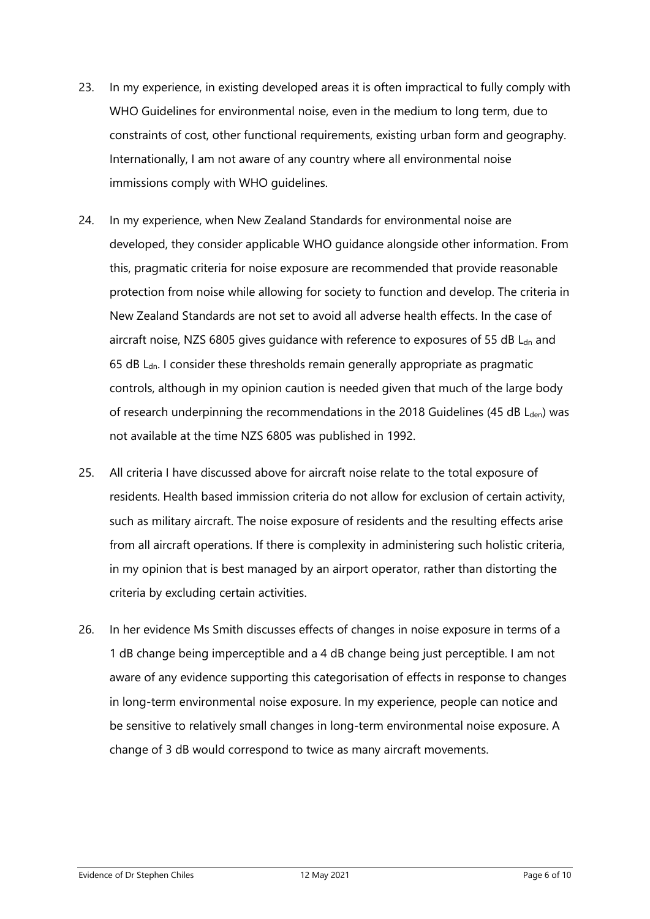- 23. In my experience, in existing developed areas it is often impractical to fully comply with WHO Guidelines for environmental noise, even in the medium to long term, due to constraints of cost, other functional requirements, existing urban form and geography. Internationally, I am not aware of any country where all environmental noise immissions comply with WHO guidelines.
- 24. In my experience, when New Zealand Standards for environmental noise are developed, they consider applicable WHO guidance alongside other information. From this, pragmatic criteria for noise exposure are recommended that provide reasonable protection from noise while allowing for society to function and develop. The criteria in New Zealand Standards are not set to avoid all adverse health effects. In the case of aircraft noise, NZS 6805 gives guidance with reference to exposures of 55 dB  $L<sub>dn</sub>$  and 65 dB  $L<sub>dn</sub>$ . I consider these thresholds remain generally appropriate as pragmatic controls, although in my opinion caution is needed given that much of the large body of research underpinning the recommendations in the 2018 Guidelines (45 dB  $L<sub>den</sub>$ ) was not available at the time NZS 6805 was published in 1992.
- 25. All criteria I have discussed above for aircraft noise relate to the total exposure of residents. Health based immission criteria do not allow for exclusion of certain activity, such as military aircraft. The noise exposure of residents and the resulting effects arise from all aircraft operations. If there is complexity in administering such holistic criteria, in my opinion that is best managed by an airport operator, rather than distorting the criteria by excluding certain activities.
- 26. In her evidence Ms Smith discusses effects of changes in noise exposure in terms of a 1 dB change being imperceptible and a 4 dB change being just perceptible. I am not aware of any evidence supporting this categorisation of effects in response to changes in long-term environmental noise exposure. In my experience, people can notice and be sensitive to relatively small changes in long-term environmental noise exposure. A change of 3 dB would correspond to twice as many aircraft movements.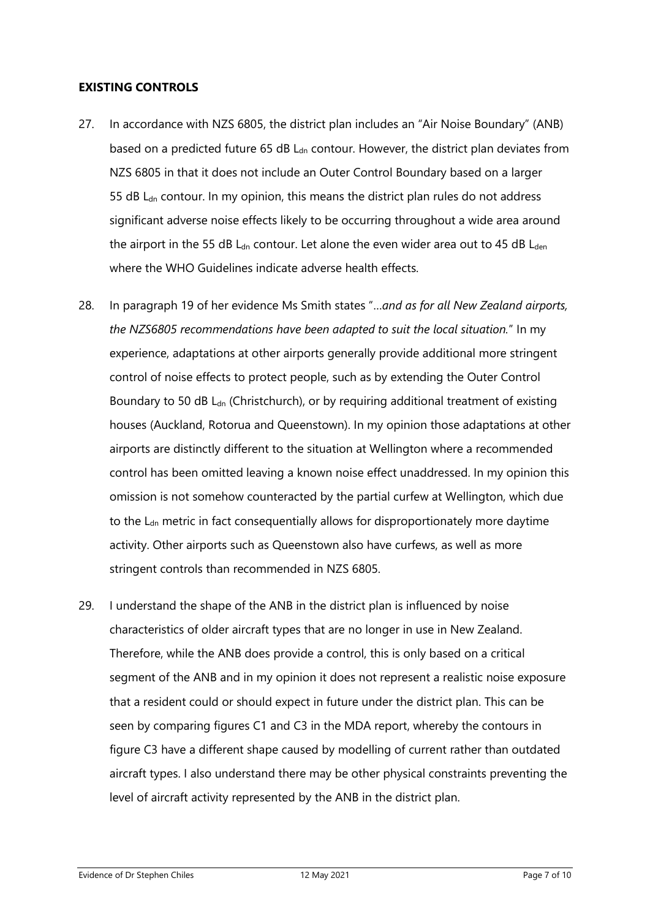#### **EXISTING CONTROLS**

- 27. In accordance with NZS 6805, the district plan includes an "Air Noise Boundary" (ANB) based on a predicted future 65 dB  $L<sub>dn</sub>$  contour. However, the district plan deviates from NZS 6805 in that it does not include an Outer Control Boundary based on a larger 55 dB  $L<sub>dn</sub>$  contour. In my opinion, this means the district plan rules do not address significant adverse noise effects likely to be occurring throughout a wide area around the airport in the 55 dB  $L<sub>dn</sub>$  contour. Let alone the even wider area out to 45 dB  $L<sub>den</sub>$ where the WHO Guidelines indicate adverse health effects.
- 28. In paragraph 19 of her evidence Ms Smith states "…*and as for all New Zealand airports, the NZS6805 recommendations have been adapted to suit the local situation.*" In my experience, adaptations at other airports generally provide additional more stringent control of noise effects to protect people, such as by extending the Outer Control Boundary to 50 dB  $L<sub>dn</sub>$  (Christchurch), or by requiring additional treatment of existing houses (Auckland, Rotorua and Queenstown). In my opinion those adaptations at other airports are distinctly different to the situation at Wellington where a recommended control has been omitted leaving a known noise effect unaddressed. In my opinion this omission is not somehow counteracted by the partial curfew at Wellington, which due to the  $L_{dn}$  metric in fact consequentially allows for disproportionately more daytime activity. Other airports such as Queenstown also have curfews, as well as more stringent controls than recommended in NZS 6805.
- 29. I understand the shape of the ANB in the district plan is influenced by noise characteristics of older aircraft types that are no longer in use in New Zealand. Therefore, while the ANB does provide a control, this is only based on a critical segment of the ANB and in my opinion it does not represent a realistic noise exposure that a resident could or should expect in future under the district plan. This can be seen by comparing figures C1 and C3 in the MDA report, whereby the contours in figure C3 have a different shape caused by modelling of current rather than outdated aircraft types. I also understand there may be other physical constraints preventing the level of aircraft activity represented by the ANB in the district plan.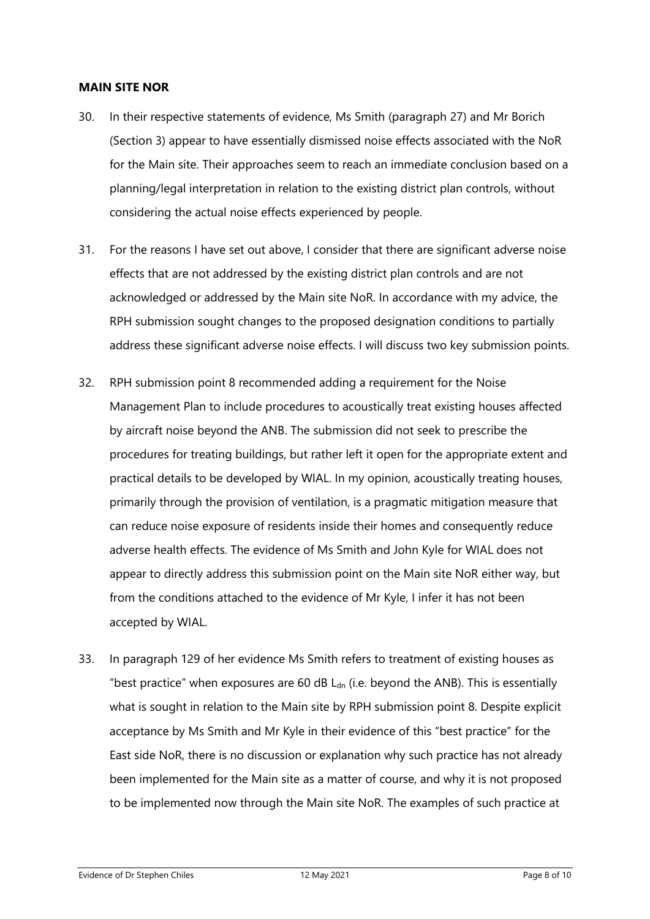#### **MAIN SITE NOR**

- 30. In their respective statements of evidence, Ms Smith (paragraph 27) and Mr Borich (Section 3) appear to have essentially dismissed noise effects associated with the NoR for the Main site. Their approaches seem to reach an immediate conclusion based on a planning/legal interpretation in relation to the existing district plan controls, without considering the actual noise effects experienced by people.
- 31. For the reasons I have set out above, I consider that there are significant adverse noise effects that are not addressed by the existing district plan controls and are not acknowledged or addressed by the Main site NoR. In accordance with my advice, the RPH submission sought changes to the proposed designation conditions to partially address these significant adverse noise effects. I will discuss two key submission points.
- 32. RPH submission point 8 recommended adding a requirement for the Noise Management Plan to include procedures to acoustically treat existing houses affected by aircraft noise beyond the ANB. The submission did not seek to prescribe the procedures for treating buildings, but rather left it open for the appropriate extent and practical details to be developed by WIAL. In my opinion, acoustically treating houses, primarily through the provision of ventilation, is a pragmatic mitigation measure that can reduce noise exposure of residents inside their homes and consequently reduce adverse health effects. The evidence of Ms Smith and John Kyle for WIAL does not appear to directly address this submission point on the Main site NoR either way, but from the conditions attached to the evidence of Mr Kyle, I infer it has not been accepted by WIAL.
- 33. In paragraph 129 of her evidence Ms Smith refers to treatment of existing houses as "best practice" when exposures are 60 dB  $L<sub>dn</sub>$  (i.e. beyond the ANB). This is essentially what is sought in relation to the Main site by RPH submission point 8. Despite explicit acceptance by Ms Smith and Mr Kyle in their evidence of this "best practice" for the East side NoR, there is no discussion or explanation why such practice has not already been implemented for the Main site as a matter of course, and why it is not proposed to be implemented now through the Main site NoR. The examples of such practice at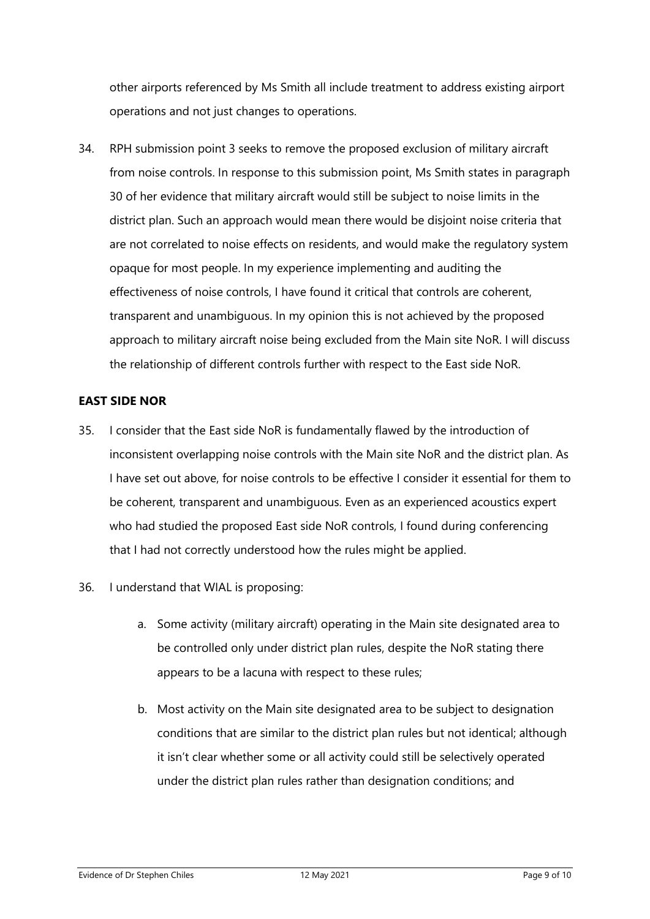other airports referenced by Ms Smith all include treatment to address existing airport operations and not just changes to operations.

34. RPH submission point 3 seeks to remove the proposed exclusion of military aircraft from noise controls. In response to this submission point, Ms Smith states in paragraph 30 of her evidence that military aircraft would still be subject to noise limits in the district plan. Such an approach would mean there would be disjoint noise criteria that are not correlated to noise effects on residents, and would make the regulatory system opaque for most people. In my experience implementing and auditing the effectiveness of noise controls, I have found it critical that controls are coherent, transparent and unambiguous. In my opinion this is not achieved by the proposed approach to military aircraft noise being excluded from the Main site NoR. I will discuss the relationship of different controls further with respect to the East side NoR.

## **EAST SIDE NOR**

- 35. I consider that the East side NoR is fundamentally flawed by the introduction of inconsistent overlapping noise controls with the Main site NoR and the district plan. As I have set out above, for noise controls to be effective I consider it essential for them to be coherent, transparent and unambiguous. Even as an experienced acoustics expert who had studied the proposed East side NoR controls, I found during conferencing that I had not correctly understood how the rules might be applied.
- 36. I understand that WIAL is proposing:
	- a. Some activity (military aircraft) operating in the Main site designated area to be controlled only under district plan rules, despite the NoR stating there appears to be a lacuna with respect to these rules;
	- b. Most activity on the Main site designated area to be subject to designation conditions that are similar to the district plan rules but not identical; although it isn't clear whether some or all activity could still be selectively operated under the district plan rules rather than designation conditions; and